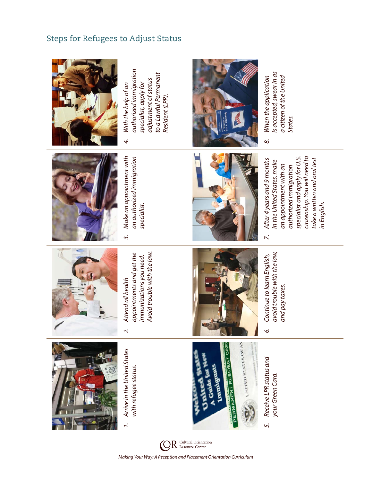## Steps for Refugees to Adjust Status

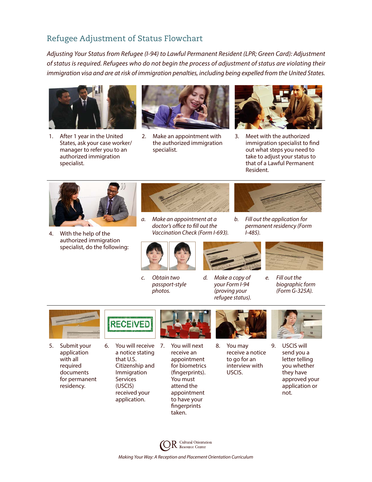## Refugee Adjustment of Status Flowchart

*Adjusting Your Status from Refugee (I-94) to Lawful Permanent Resident (LPR; Green Card): Adjustment of status is required. Refugees who do not begin the process of adjustment of status are violating their immigration visa and are at risk of immigration penalties, including being expelled from the United States.*



1. After 1 year in the United States, ask your case worker/ manager to refer you to an authorized immigration specialist.



2. Make an appointment with the authorized immigration specialist.



3. Meet with the authorized immigration specialist to find out what steps you need to take to adjust your status to that of a Lawful Permanent Resident.

*b. Fill out the application for permanent residency (Form* 

*I-485).*



4. With the help of the authorized immigration specialist, do the following:



*a. Make an appointment at a doctor's office to fill out the Vaccination Check (Form I-693).*



*c. Obtain two passport-style photos.*



*d. Make a copy of your Form I-94 (proving your refugee status).*



*e. Fill out the biographic form (Form G-325A).*



5. Submit your application with all required documents for permanent residency.



6. You will receive a notice stating that U.S. Citizenship and Immigration Services (USCIS) received your application.



You will next receive an appointment for biometrics (fingerprints). You must attend the appointment to have your fingerprints taken.



8. You may receive a notice to go for an interview with USCIS.



9. USCIS will send you a letter telling you whether they have approved your application or not.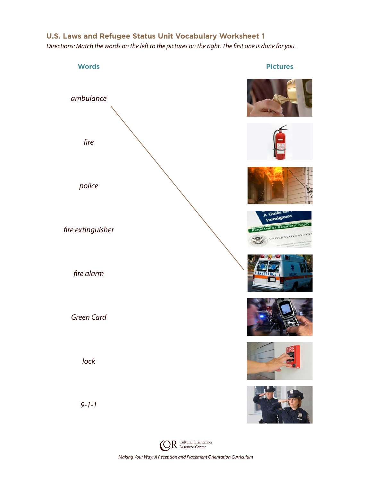## **U.S. Laws and Refugee Status Unit Vocabulary Worksheet 1**

*Directions: Match the words on the left to the pictures on the right. The first one is done for you.*